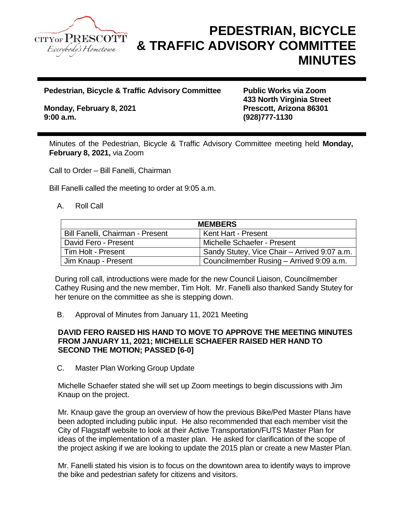

# **PEDESTRIAN, BICYCLE & TRAFFIC ADVISORY COMMITTEE MINUTES**

**Pedestrian, Bicycle & Traffic Advisory Committee Public Works via Zoom**

**Monday, February 8, 2021 Prescott, Arizona 86301 9:00 a.m. (928)777-1130**

**433 North Virginia Street**

Minutes of the Pedestrian, Bicycle & Traffic Advisory Committee meeting held **Monday, February 8, 2021,** via Zoom

Call to Order – Bill Fanelli, Chairman

Bill Fanelli called the meeting to order at 9:05 a.m.

#### A. Roll Call

| <b>MEMBERS</b>                   |                                              |
|----------------------------------|----------------------------------------------|
| Bill Fanelli, Chairman - Present | Kent Hart - Present                          |
| David Fero - Present             | Michelle Schaefer - Present                  |
| Tim Holt - Present               | Sandy Stutey, Vice Chair - Arrived 9:07 a.m. |
| Jim Knaup - Present              | Councilmember Rusing - Arrived 9:09 a.m.     |

During roll call, introductions were made for the new Council Liaison, Councilmember Cathey Rusing and the new member, Tim Holt. Mr. Fanelli also thanked Sandy Stutey for her tenure on the committee as she is stepping down.

B. Approval of Minutes from January 11, 2021 Meeting

#### **DAVID FERO RAISED HIS HAND TO MOVE TO APPROVE THE MEETING MINUTES FROM JANUARY 11, 2021; MICHELLE SCHAEFER RAISED HER HAND TO SECOND THE MOTION; PASSED [6-0]**

C. Master Plan Working Group Update

Michelle Schaefer stated she will set up Zoom meetings to begin discussions with Jim Knaup on the project.

Mr. Knaup gave the group an overview of how the previous Bike/Ped Master Plans have been adopted including public input. He also recommended that each member visit the City of Flagstaff website to look at their Active Transportation/FUTS Master Plan for ideas of the implementation of a master plan. He asked for clarification of the scope of the project asking if we are looking to update the 2015 plan or create a new Master Plan.

Mr. Fanelli stated his vision is to focus on the downtown area to identify ways to improve the bike and pedestrian safety for citizens and visitors.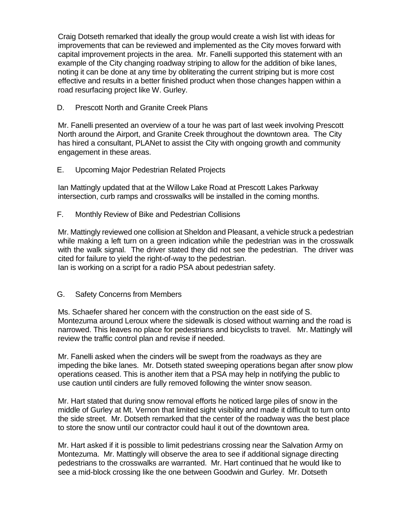Craig Dotseth remarked that ideally the group would create a wish list with ideas for improvements that can be reviewed and implemented as the City moves forward with capital improvement projects in the area. Mr. Fanelli supported this statement with an example of the City changing roadway striping to allow for the addition of bike lanes, noting it can be done at any time by obliterating the current striping but is more cost effective and results in a better finished product when those changes happen within a road resurfacing project like W. Gurley.

### D. Prescott North and Granite Creek Plans

Mr. Fanelli presented an overview of a tour he was part of last week involving Prescott North around the Airport, and Granite Creek throughout the downtown area. The City has hired a consultant, PLANet to assist the City with ongoing growth and community engagement in these areas.

E. Upcoming Major Pedestrian Related Projects

Ian Mattingly updated that at the Willow Lake Road at Prescott Lakes Parkway intersection, curb ramps and crosswalks will be installed in the coming months.

F. Monthly Review of Bike and Pedestrian Collisions

Mr. Mattingly reviewed one collision at Sheldon and Pleasant, a vehicle struck a pedestrian while making a left turn on a green indication while the pedestrian was in the crosswalk with the walk signal. The driver stated they did not see the pedestrian. The driver was cited for failure to yield the right-of-way to the pedestrian.

Ian is working on a script for a radio PSA about pedestrian safety.

## G. Safety Concerns from Members

Ms. Schaefer shared her concern with the construction on the east side of S. Montezuma around Leroux where the sidewalk is closed without warning and the road is narrowed. This leaves no place for pedestrians and bicyclists to travel. Mr. Mattingly will review the traffic control plan and revise if needed.

Mr. Fanelli asked when the cinders will be swept from the roadways as they are impeding the bike lanes. Mr. Dotseth stated sweeping operations began after snow plow operations ceased. This is another item that a PSA may help in notifying the public to use caution until cinders are fully removed following the winter snow season.

Mr. Hart stated that during snow removal efforts he noticed large piles of snow in the middle of Gurley at Mt. Vernon that limited sight visibility and made it difficult to turn onto the side street. Mr. Dotseth remarked that the center of the roadway was the best place to store the snow until our contractor could haul it out of the downtown area.

Mr. Hart asked if it is possible to limit pedestrians crossing near the Salvation Army on Montezuma. Mr. Mattingly will observe the area to see if additional signage directing pedestrians to the crosswalks are warranted. Mr. Hart continued that he would like to see a mid-block crossing like the one between Goodwin and Gurley. Mr. Dotseth